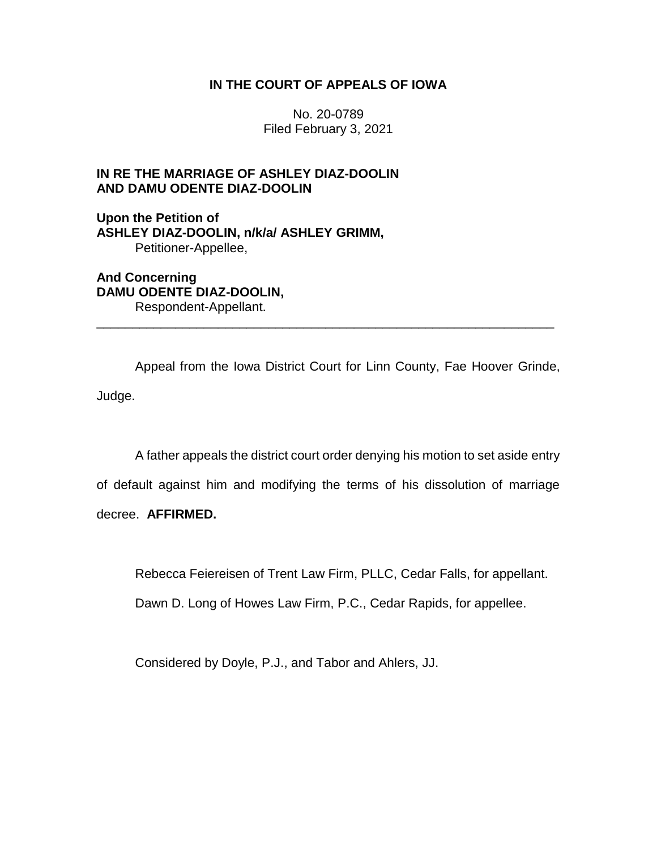# **IN THE COURT OF APPEALS OF IOWA**

No. 20-0789 Filed February 3, 2021

# **IN RE THE MARRIAGE OF ASHLEY DIAZ-DOOLIN AND DAMU ODENTE DIAZ-DOOLIN**

**Upon the Petition of ASHLEY DIAZ-DOOLIN, n/k/a/ ASHLEY GRIMM,** Petitioner-Appellee,

**And Concerning DAMU ODENTE DIAZ-DOOLIN,** Respondent-Appellant.

Appeal from the Iowa District Court for Linn County, Fae Hoover Grinde, Judge.

\_\_\_\_\_\_\_\_\_\_\_\_\_\_\_\_\_\_\_\_\_\_\_\_\_\_\_\_\_\_\_\_\_\_\_\_\_\_\_\_\_\_\_\_\_\_\_\_\_\_\_\_\_\_\_\_\_\_\_\_\_\_\_\_

A father appeals the district court order denying his motion to set aside entry of default against him and modifying the terms of his dissolution of marriage decree. **AFFIRMED.**

Rebecca Feiereisen of Trent Law Firm, PLLC, Cedar Falls, for appellant.

Dawn D. Long of Howes Law Firm, P.C., Cedar Rapids, for appellee.

Considered by Doyle, P.J., and Tabor and Ahlers, JJ.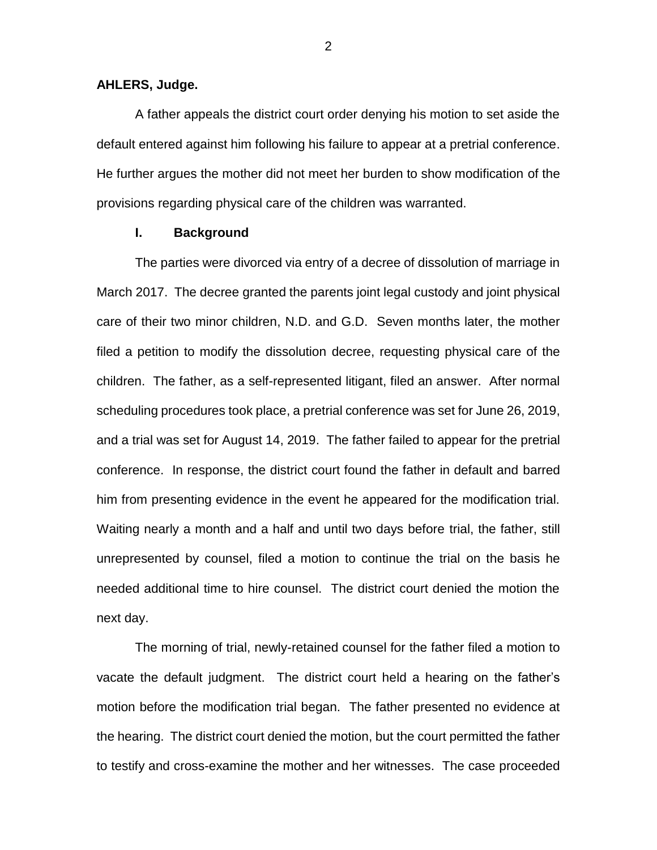## **AHLERS, Judge.**

A father appeals the district court order denying his motion to set aside the default entered against him following his failure to appear at a pretrial conference. He further argues the mother did not meet her burden to show modification of the provisions regarding physical care of the children was warranted.

# **I. Background**

The parties were divorced via entry of a decree of dissolution of marriage in March 2017. The decree granted the parents joint legal custody and joint physical care of their two minor children, N.D. and G.D. Seven months later, the mother filed a petition to modify the dissolution decree, requesting physical care of the children. The father, as a self-represented litigant, filed an answer. After normal scheduling procedures took place, a pretrial conference was set for June 26, 2019, and a trial was set for August 14, 2019. The father failed to appear for the pretrial conference. In response, the district court found the father in default and barred him from presenting evidence in the event he appeared for the modification trial. Waiting nearly a month and a half and until two days before trial, the father, still unrepresented by counsel, filed a motion to continue the trial on the basis he needed additional time to hire counsel. The district court denied the motion the next day.

The morning of trial, newly-retained counsel for the father filed a motion to vacate the default judgment. The district court held a hearing on the father's motion before the modification trial began. The father presented no evidence at the hearing. The district court denied the motion, but the court permitted the father to testify and cross-examine the mother and her witnesses. The case proceeded

2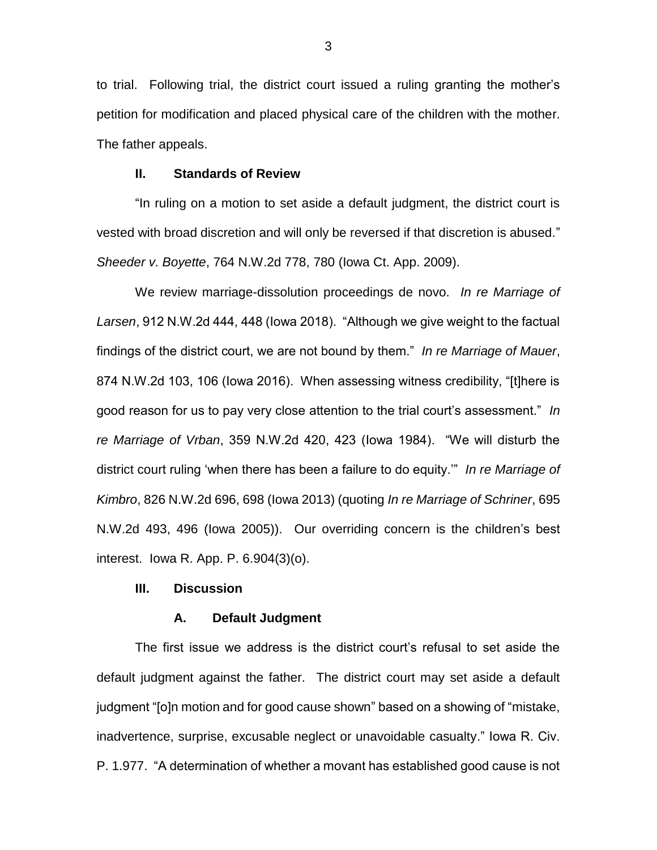to trial. Following trial, the district court issued a ruling granting the mother's petition for modification and placed physical care of the children with the mother. The father appeals.

#### **II. Standards of Review**

"In ruling on a motion to set aside a default judgment, the district court is vested with broad discretion and will only be reversed if that discretion is abused." *Sheeder v. Boyette*, 764 N.W.2d 778, 780 (Iowa Ct. App. 2009).

We review marriage-dissolution proceedings de novo. *In re Marriage of Larsen*, 912 N.W.2d 444, 448 (Iowa 2018). "Although we give weight to the factual findings of the district court, we are not bound by them." *In re Marriage of Mauer*, 874 N.W.2d 103, 106 (Iowa 2016). When assessing witness credibility, "[t]here is good reason for us to pay very close attention to the trial court's assessment." *In re Marriage of Vrban*, 359 N.W.2d 420, 423 (Iowa 1984). "We will disturb the district court ruling 'when there has been a failure to do equity.'" *In re Marriage of Kimbro*, 826 N.W.2d 696, 698 (Iowa 2013) (quoting *In re Marriage of Schriner*, 695 N.W.2d 493, 496 (Iowa 2005)). Our overriding concern is the children's best interest. Iowa R. App. P. 6.904(3)(o).

## **III. Discussion**

#### **A. Default Judgment**

The first issue we address is the district court's refusal to set aside the default judgment against the father. The district court may set aside a default judgment "[o]n motion and for good cause shown" based on a showing of "mistake, inadvertence, surprise, excusable neglect or unavoidable casualty." Iowa R. Civ. P. 1.977. "A determination of whether a movant has established good cause is not

3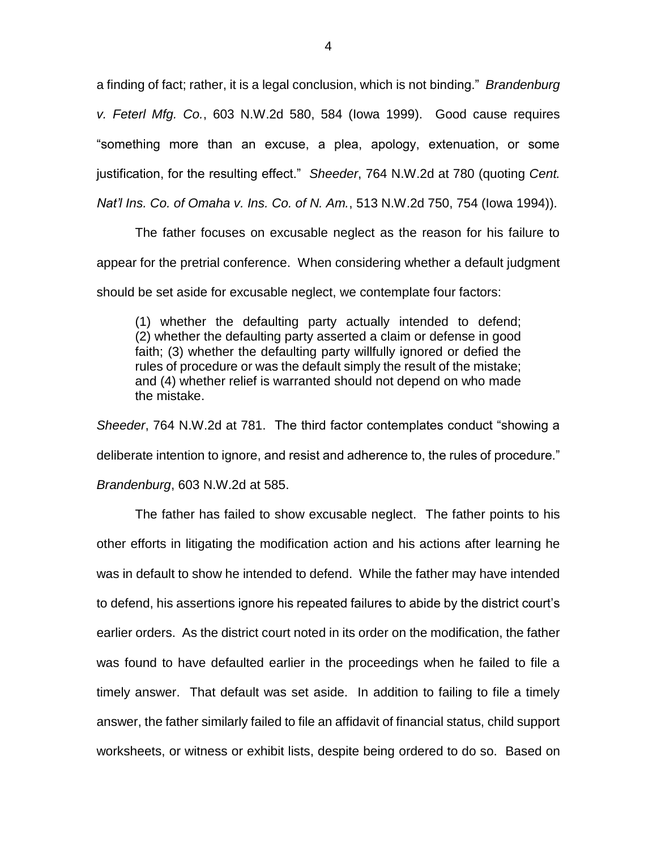a finding of fact; rather, it is a legal conclusion, which is not binding." *Brandenburg v. Feterl Mfg. Co.*, 603 N.W.2d 580, 584 (Iowa 1999). Good cause requires "something more than an excuse, a plea, apology, extenuation, or some justification, for the resulting effect." *Sheeder*, 764 N.W.2d at 780 (quoting *Cent. Nat'l Ins. Co. of Omaha v. Ins. Co. of N. Am.*, 513 N.W.2d 750, 754 (Iowa 1994)).

The father focuses on excusable neglect as the reason for his failure to appear for the pretrial conference. When considering whether a default judgment should be set aside for excusable neglect, we contemplate four factors:

(1) whether the defaulting party actually intended to defend; (2) whether the defaulting party asserted a claim or defense in good faith; (3) whether the defaulting party willfully ignored or defied the rules of procedure or was the default simply the result of the mistake; and (4) whether relief is warranted should not depend on who made the mistake.

*Sheeder*, 764 N.W.2d at 781. The third factor contemplates conduct "showing a deliberate intention to ignore, and resist and adherence to, the rules of procedure." *Brandenburg*, 603 N.W.2d at 585.

The father has failed to show excusable neglect. The father points to his other efforts in litigating the modification action and his actions after learning he was in default to show he intended to defend. While the father may have intended to defend, his assertions ignore his repeated failures to abide by the district court's earlier orders. As the district court noted in its order on the modification, the father was found to have defaulted earlier in the proceedings when he failed to file a timely answer. That default was set aside. In addition to failing to file a timely answer, the father similarly failed to file an affidavit of financial status, child support worksheets, or witness or exhibit lists, despite being ordered to do so. Based on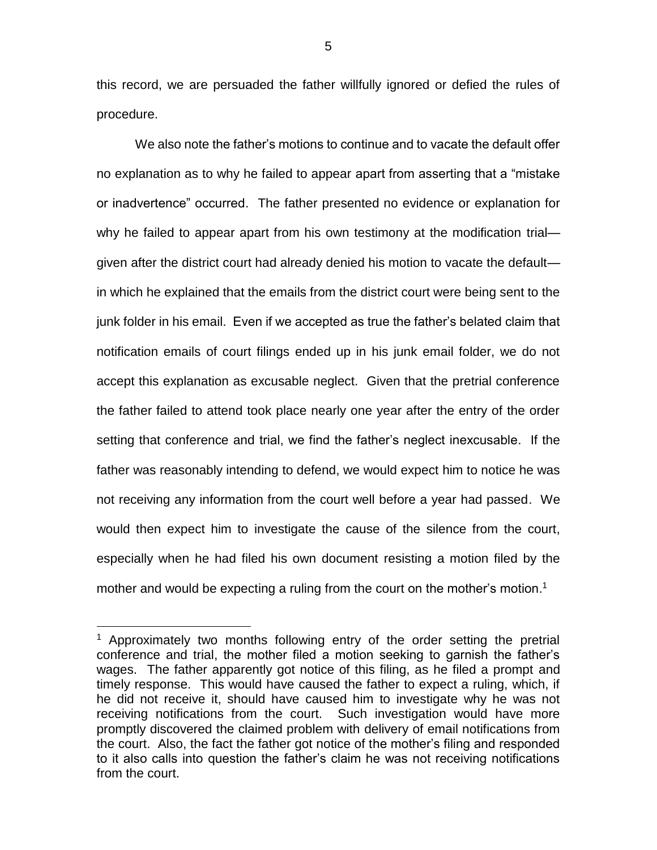this record, we are persuaded the father willfully ignored or defied the rules of procedure.

We also note the father's motions to continue and to vacate the default offer no explanation as to why he failed to appear apart from asserting that a "mistake or inadvertence" occurred. The father presented no evidence or explanation for why he failed to appear apart from his own testimony at the modification trial given after the district court had already denied his motion to vacate the default in which he explained that the emails from the district court were being sent to the junk folder in his email. Even if we accepted as true the father's belated claim that notification emails of court filings ended up in his junk email folder, we do not accept this explanation as excusable neglect. Given that the pretrial conference the father failed to attend took place nearly one year after the entry of the order setting that conference and trial, we find the father's neglect inexcusable. If the father was reasonably intending to defend, we would expect him to notice he was not receiving any information from the court well before a year had passed. We would then expect him to investigate the cause of the silence from the court, especially when he had filed his own document resisting a motion filed by the mother and would be expecting a ruling from the court on the mother's motion. 1

 $\overline{a}$ 

<sup>1</sup> Approximately two months following entry of the order setting the pretrial conference and trial, the mother filed a motion seeking to garnish the father's wages. The father apparently got notice of this filing, as he filed a prompt and timely response. This would have caused the father to expect a ruling, which, if he did not receive it, should have caused him to investigate why he was not receiving notifications from the court. Such investigation would have more promptly discovered the claimed problem with delivery of email notifications from the court. Also, the fact the father got notice of the mother's filing and responded to it also calls into question the father's claim he was not receiving notifications from the court.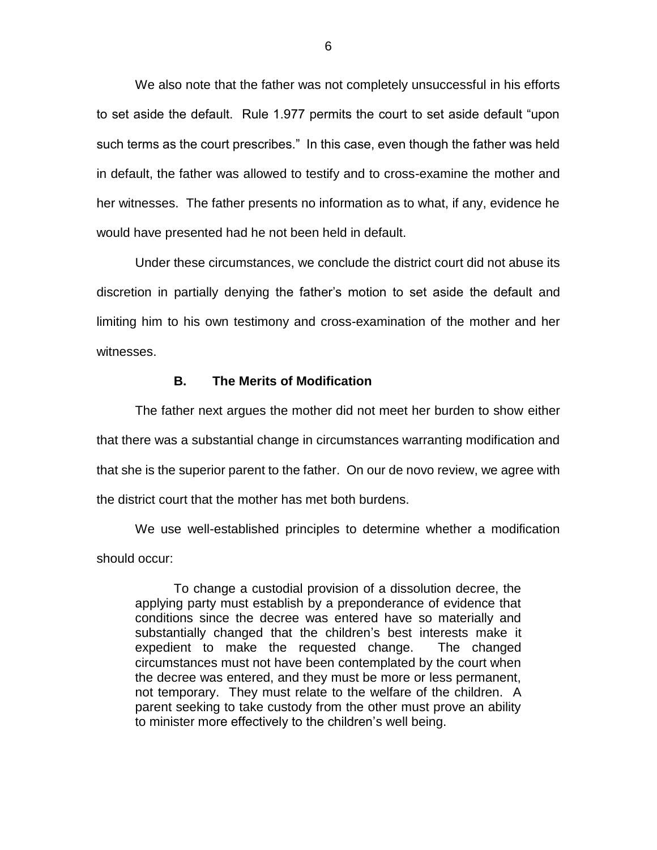We also note that the father was not completely unsuccessful in his efforts to set aside the default. Rule 1.977 permits the court to set aside default "upon such terms as the court prescribes." In this case, even though the father was held in default, the father was allowed to testify and to cross-examine the mother and her witnesses. The father presents no information as to what, if any, evidence he would have presented had he not been held in default.

Under these circumstances, we conclude the district court did not abuse its discretion in partially denying the father's motion to set aside the default and limiting him to his own testimony and cross-examination of the mother and her witnesses.

# **B. The Merits of Modification**

The father next argues the mother did not meet her burden to show either that there was a substantial change in circumstances warranting modification and that she is the superior parent to the father. On our de novo review, we agree with the district court that the mother has met both burdens.

We use well-established principles to determine whether a modification should occur:

To change a custodial provision of a dissolution decree, the applying party must establish by a preponderance of evidence that conditions since the decree was entered have so materially and substantially changed that the children's best interests make it expedient to make the requested change. The changed circumstances must not have been contemplated by the court when the decree was entered, and they must be more or less permanent, not temporary. They must relate to the welfare of the children. A parent seeking to take custody from the other must prove an ability to minister more effectively to the children's well being.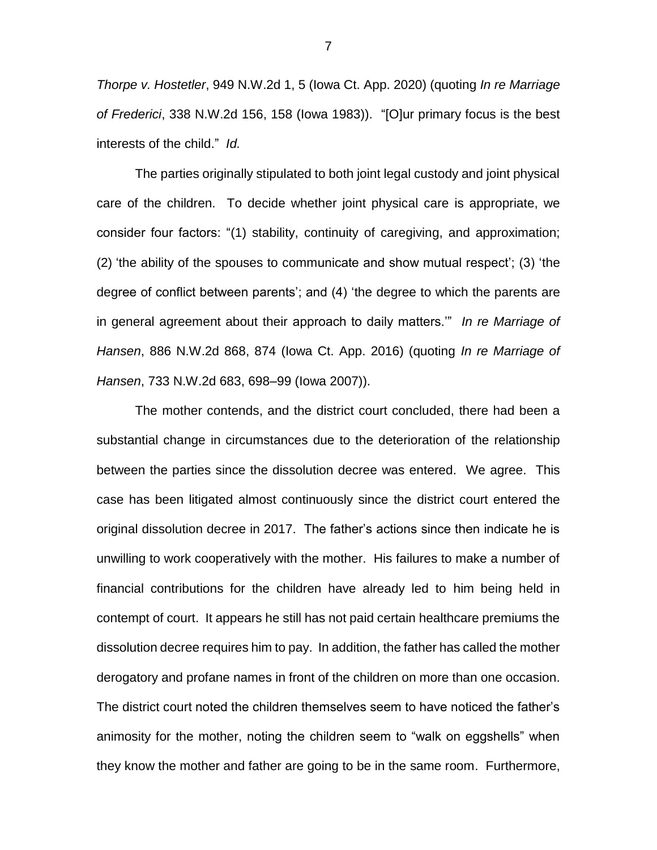*Thorpe v. Hostetler*, 949 N.W.2d 1, 5 (Iowa Ct. App. 2020) (quoting *In re Marriage of Frederici*, 338 N.W.2d 156, 158 (Iowa 1983)). "[O]ur primary focus is the best interests of the child." *Id.*

The parties originally stipulated to both joint legal custody and joint physical care of the children. To decide whether joint physical care is appropriate, we consider four factors: "(1) stability, continuity of caregiving, and approximation; (2) 'the ability of the spouses to communicate and show mutual respect'; (3) 'the degree of conflict between parents'; and (4) 'the degree to which the parents are in general agreement about their approach to daily matters.'" *In re Marriage of Hansen*, 886 N.W.2d 868, 874 (Iowa Ct. App. 2016) (quoting *In re Marriage of Hansen*, 733 N.W.2d 683, 698–99 (Iowa 2007)).

The mother contends, and the district court concluded, there had been a substantial change in circumstances due to the deterioration of the relationship between the parties since the dissolution decree was entered. We agree. This case has been litigated almost continuously since the district court entered the original dissolution decree in 2017. The father's actions since then indicate he is unwilling to work cooperatively with the mother. His failures to make a number of financial contributions for the children have already led to him being held in contempt of court. It appears he still has not paid certain healthcare premiums the dissolution decree requires him to pay. In addition, the father has called the mother derogatory and profane names in front of the children on more than one occasion. The district court noted the children themselves seem to have noticed the father's animosity for the mother, noting the children seem to "walk on eggshells" when they know the mother and father are going to be in the same room. Furthermore,

7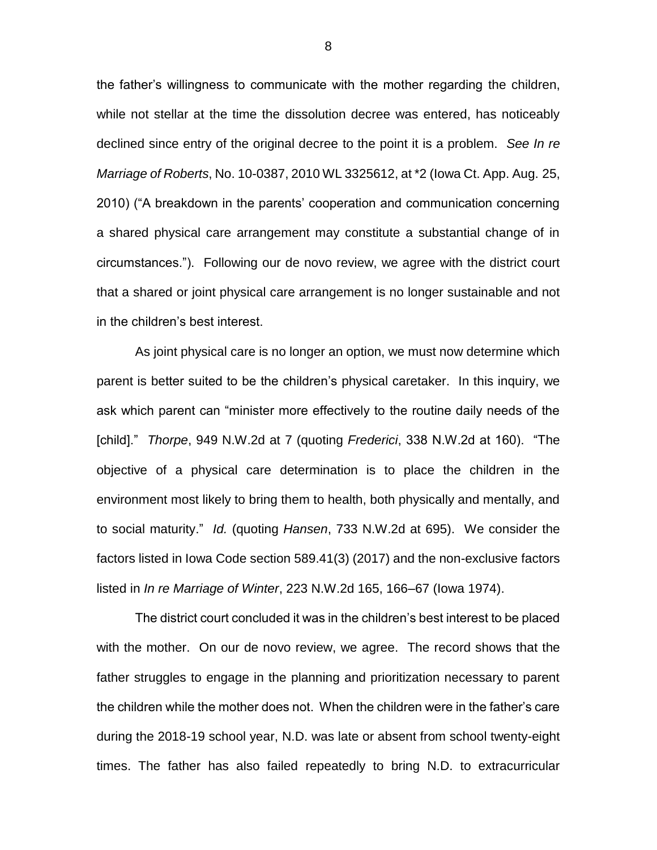the father's willingness to communicate with the mother regarding the children, while not stellar at the time the dissolution decree was entered, has noticeably declined since entry of the original decree to the point it is a problem. *See In re Marriage of Roberts*, No. 10-0387, 2010 WL 3325612, at \*2 (Iowa Ct. App. Aug. 25, 2010) ("A breakdown in the parents' cooperation and communication concerning a shared physical care arrangement may constitute a substantial change of in circumstances."). Following our de novo review, we agree with the district court that a shared or joint physical care arrangement is no longer sustainable and not in the children's best interest.

As joint physical care is no longer an option, we must now determine which parent is better suited to be the children's physical caretaker. In this inquiry, we ask which parent can "minister more effectively to the routine daily needs of the [child]." *Thorpe*, 949 N.W.2d at 7 (quoting *Frederici*, 338 N.W.2d at 160). "The objective of a physical care determination is to place the children in the environment most likely to bring them to health, both physically and mentally, and to social maturity." *Id.* (quoting *Hansen*, 733 N.W.2d at 695). We consider the factors listed in Iowa Code section 589.41(3) (2017) and the non-exclusive factors listed in *In re Marriage of Winter*, 223 N.W.2d 165, 166–67 (Iowa 1974).

The district court concluded it was in the children's best interest to be placed with the mother. On our de novo review, we agree. The record shows that the father struggles to engage in the planning and prioritization necessary to parent the children while the mother does not. When the children were in the father's care during the 2018-19 school year, N.D. was late or absent from school twenty-eight times. The father has also failed repeatedly to bring N.D. to extracurricular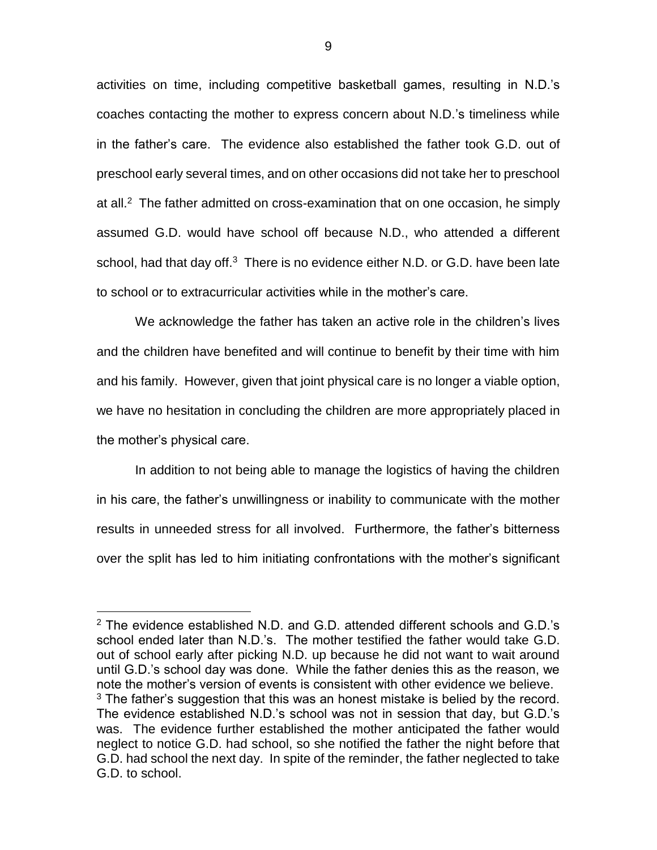activities on time, including competitive basketball games, resulting in N.D.'s coaches contacting the mother to express concern about N.D.'s timeliness while in the father's care. The evidence also established the father took G.D. out of preschool early several times, and on other occasions did not take her to preschool at all.<sup>2</sup> The father admitted on cross-examination that on one occasion, he simply assumed G.D. would have school off because N.D., who attended a different school, had that day off.<sup>3</sup> There is no evidence either N.D. or G.D. have been late to school or to extracurricular activities while in the mother's care.

We acknowledge the father has taken an active role in the children's lives and the children have benefited and will continue to benefit by their time with him and his family. However, given that joint physical care is no longer a viable option, we have no hesitation in concluding the children are more appropriately placed in the mother's physical care.

In addition to not being able to manage the logistics of having the children in his care, the father's unwillingness or inability to communicate with the mother results in unneeded stress for all involved. Furthermore, the father's bitterness over the split has led to him initiating confrontations with the mother's significant

 $\overline{a}$ 

 $2$  The evidence established N.D. and G.D. attended different schools and G.D.'s school ended later than N.D.'s. The mother testified the father would take G.D. out of school early after picking N.D. up because he did not want to wait around until G.D.'s school day was done. While the father denies this as the reason, we note the mother's version of events is consistent with other evidence we believe.  $3$  The father's suggestion that this was an honest mistake is belied by the record. The evidence established N.D.'s school was not in session that day, but G.D.'s was. The evidence further established the mother anticipated the father would neglect to notice G.D. had school, so she notified the father the night before that G.D. had school the next day. In spite of the reminder, the father neglected to take G.D. to school.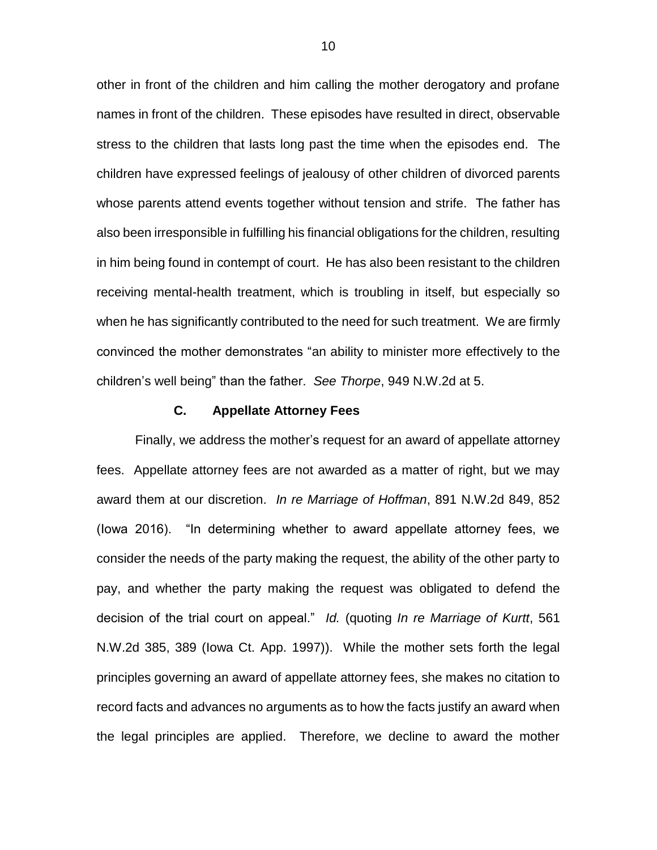other in front of the children and him calling the mother derogatory and profane names in front of the children. These episodes have resulted in direct, observable stress to the children that lasts long past the time when the episodes end. The children have expressed feelings of jealousy of other children of divorced parents whose parents attend events together without tension and strife. The father has also been irresponsible in fulfilling his financial obligations for the children, resulting in him being found in contempt of court. He has also been resistant to the children receiving mental-health treatment, which is troubling in itself, but especially so when he has significantly contributed to the need for such treatment. We are firmly convinced the mother demonstrates "an ability to minister more effectively to the children's well being" than the father. *See Thorpe*, 949 N.W.2d at 5.

### **C. Appellate Attorney Fees**

Finally, we address the mother's request for an award of appellate attorney fees. Appellate attorney fees are not awarded as a matter of right, but we may award them at our discretion. *In re Marriage of Hoffman*, 891 N.W.2d 849, 852 (Iowa 2016). "In determining whether to award appellate attorney fees, we consider the needs of the party making the request, the ability of the other party to pay, and whether the party making the request was obligated to defend the decision of the trial court on appeal." *Id.* (quoting *In re Marriage of Kurtt*, 561 N.W.2d 385, 389 (Iowa Ct. App. 1997)). While the mother sets forth the legal principles governing an award of appellate attorney fees, she makes no citation to record facts and advances no arguments as to how the facts justify an award when the legal principles are applied. Therefore, we decline to award the mother